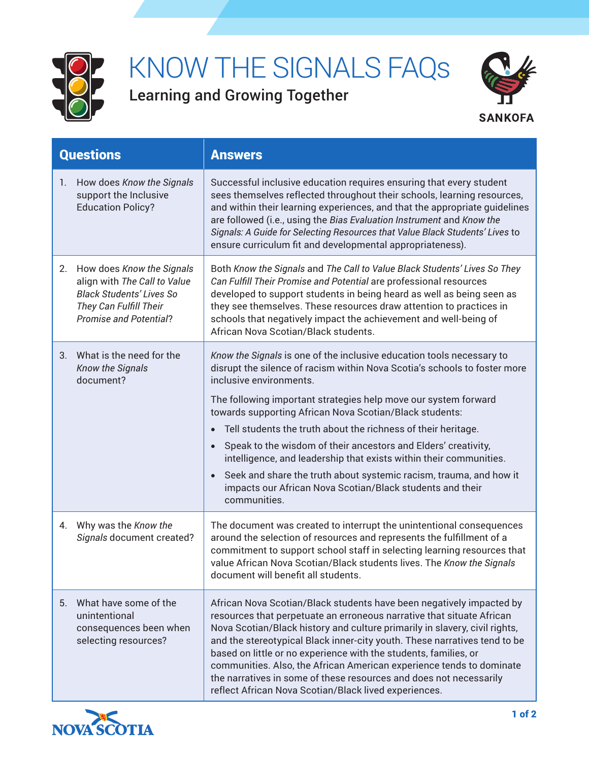

## KNOW THE SIGNALS FAQs

Learning and Growing Together



| <b>Questions</b>                                                                                                                                              | <b>Answers</b>                                                                                                                                                                                                                                                                                                                                                                                                                                                                                                                                                                                                                                                                       |
|---------------------------------------------------------------------------------------------------------------------------------------------------------------|--------------------------------------------------------------------------------------------------------------------------------------------------------------------------------------------------------------------------------------------------------------------------------------------------------------------------------------------------------------------------------------------------------------------------------------------------------------------------------------------------------------------------------------------------------------------------------------------------------------------------------------------------------------------------------------|
| How does Know the Signals<br>1.<br>support the Inclusive<br><b>Education Policy?</b>                                                                          | Successful inclusive education requires ensuring that every student<br>sees themselves reflected throughout their schools, learning resources,<br>and within their learning experiences, and that the appropriate guidelines<br>are followed (i.e., using the Bias Evaluation Instrument and Know the<br>Signals: A Guide for Selecting Resources that Value Black Students' Lives to<br>ensure curriculum fit and developmental appropriateness).                                                                                                                                                                                                                                   |
| How does Know the Signals<br>2.<br>align with The Call to Value<br><b>Black Students' Lives So</b><br>They Can Fulfill Their<br><b>Promise and Potential?</b> | Both Know the Signals and The Call to Value Black Students' Lives So They<br>Can Fulfill Their Promise and Potential are professional resources<br>developed to support students in being heard as well as being seen as<br>they see themselves. These resources draw attention to practices in<br>schools that negatively impact the achievement and well-being of<br>African Nova Scotian/Black students.                                                                                                                                                                                                                                                                          |
| What is the need for the<br>3.<br><b>Know the Signals</b><br>document?                                                                                        | Know the Signals is one of the inclusive education tools necessary to<br>disrupt the silence of racism within Nova Scotia's schools to foster more<br>inclusive environments.<br>The following important strategies help move our system forward<br>towards supporting African Nova Scotian/Black students:<br>Tell students the truth about the richness of their heritage.<br>Speak to the wisdom of their ancestors and Elders' creativity,<br>$\bullet$<br>intelligence, and leadership that exists within their communities.<br>Seek and share the truth about systemic racism, trauma, and how it<br>impacts our African Nova Scotian/Black students and their<br>communities. |
| Why was the Know the<br>4.<br>Signals document created?                                                                                                       | The document was created to interrupt the unintentional consequences<br>around the selection of resources and represents the fulfillment of a<br>commitment to support school staff in selecting learning resources that<br>value African Nova Scotian/Black students lives. The Know the Signals<br>document will benefit all students.                                                                                                                                                                                                                                                                                                                                             |
| What have some of the<br>5.<br>unintentional<br>consequences been when<br>selecting resources?                                                                | African Nova Scotian/Black students have been negatively impacted by<br>resources that perpetuate an erroneous narrative that situate African<br>Nova Scotian/Black history and culture primarily in slavery, civil rights,<br>and the stereotypical Black inner-city youth. These narratives tend to be<br>based on little or no experience with the students, families, or<br>communities. Also, the African American experience tends to dominate<br>the narratives in some of these resources and does not necessarily<br>reflect African Nova Scotian/Black lived experiences.                                                                                                  |